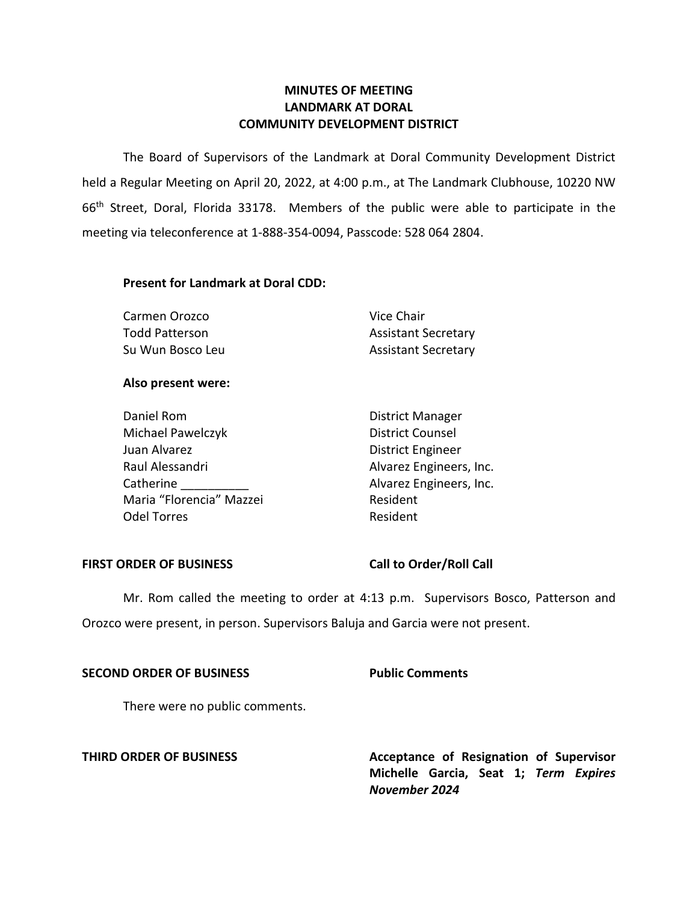# **LANDMARK AT DORAL MINUTES OF MEETING COMMUNITY DEVELOPMENT DISTRICT**

 The Board of Supervisors of the Landmark at Doral Community Development District held a Regular Meeting on April 20, 2022, at 4:00 p.m., at The Landmark Clubhouse, 10220 NW 66<sup>th</sup> Street, Doral, Florida 33178. Members of the public were able to participate in the meeting via teleconference at 1-888-354-0094, Passcode: 528 064 2804.

# **Present for Landmark at Doral CDD:**

| Vice Chair                 |
|----------------------------|
| <b>Assistant Secretary</b> |
| <b>Assistant Secretary</b> |
|                            |

## **Also present were:**

| Daniel Rom               | <b>District Manager</b>  |
|--------------------------|--------------------------|
| Michael Pawelczyk        | <b>District Counsel</b>  |
| Juan Alvarez             | <b>District Engineer</b> |
| Raul Alessandri          | Alvarez Engineers, Inc.  |
| Catherine                | Alvarez Engineers, Inc.  |
| Maria "Florencia" Mazzei | Resident                 |
| <b>Odel Torres</b>       | Resident                 |

## FIRST ORDER OF BUSINESS Call to Order/Roll Call

 Mr. Rom called the meeting to order at 4:13 p.m. Supervisors Bosco, Patterson and Orozco were present, in person. Supervisors Baluja and Garcia were not present.

# **SECOND ORDER OF BUSINESS Public Comments**

There were no public comments.

**THIRD ORDER OF BUSINESS** Acceptance of Resignation of Supervisor **Michelle Garcia, Seat 1;** *Term Expires November 2024*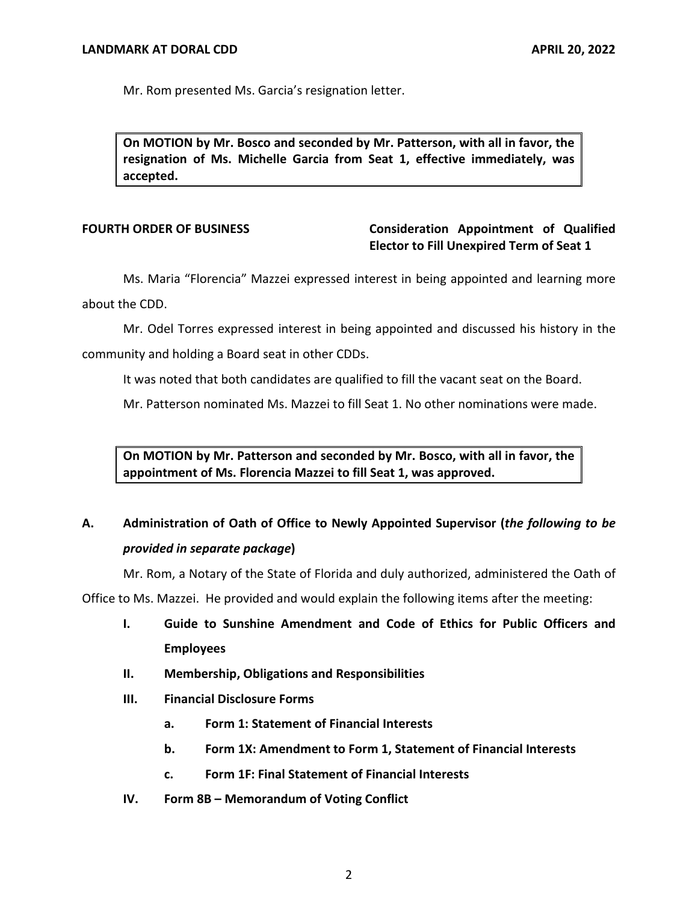Mr. Rom presented Ms. Garcia's resignation letter.

 **On MOTION by Mr. Bosco and seconded by Mr. Patterson, with all in favor, the resignation of Ms. Michelle Garcia from Seat 1, effective immediately, was accepted.** 

# **FOURTH ORDER OF BUSINESS Consideration Appointment of Qualified Elector to Fill Unexpired Term of Seat 1**

Ms. Maria "Florencia" Mazzei expressed interest in being appointed and learning more about the CDD.

Mr. Odel Torres expressed interest in being appointed and discussed his history in the community and holding a Board seat in other CDDs.

It was noted that both candidates are qualified to fill the vacant seat on the Board.

Mr. Patterson nominated Ms. Mazzei to fill Seat 1. No other nominations were made.

 **On MOTION by Mr. Patterson and seconded by Mr. Bosco, with all in favor, the appointment of Ms. Florencia Mazzei to fill Seat 1, was approved.** 

# **A. Administration of Oath of Office to Newly Appointed Supervisor (***the following to be provided in separate package***)**

Mr. Rom, a Notary of the State of Florida and duly authorized, administered the Oath of

Office to Ms. Mazzei. He provided and would explain the following items after the meeting:

- **I. Guide to Sunshine Amendment and Code of Ethics for Public Officers and Employees**
- **II. Membership, Obligations and Responsibilities**
- **III. Financial Disclosure Forms** 
	- **a. Form 1: Statement of Financial Interests**
	- **b. Form 1X: Amendment to Form 1, Statement of Financial Interests**
	- **c. Form 1F: Final Statement of Financial Interests**
- **IV. Form 8B – Memorandum of Voting Conflict**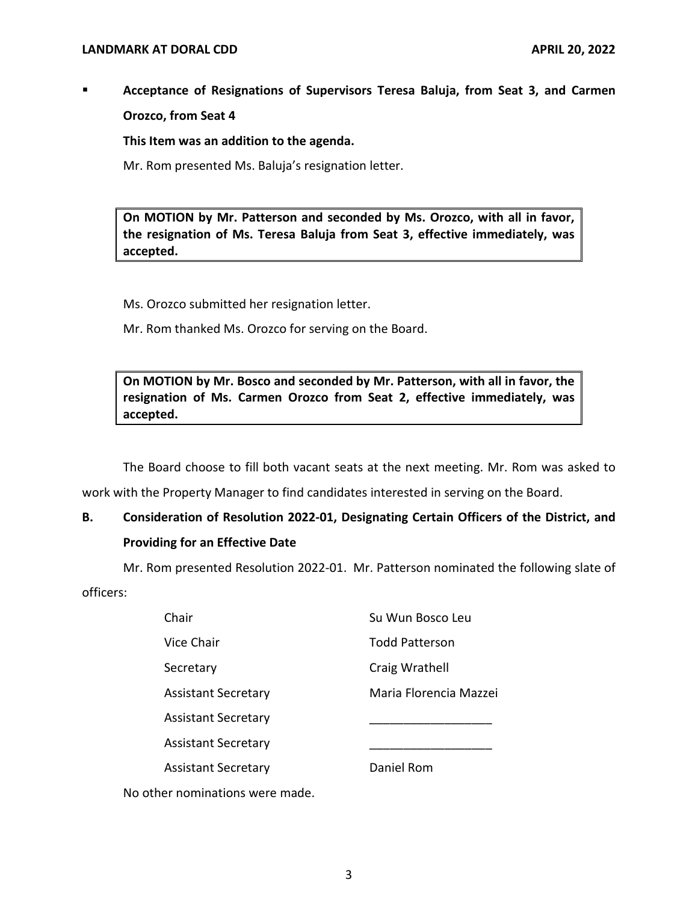▪ **Acceptance of Resignations of Supervisors Teresa Baluja, from Seat 3, and Carmen Orozco, from Seat 4** 

**This Item was an addition to the agenda.** 

Mr. Rom presented Ms. Baluja's resignation letter.

 **On MOTION by Mr. Patterson and seconded by Ms. Orozco, with all in favor, the resignation of Ms. Teresa Baluja from Seat 3, effective immediately, was accepted.** 

Ms. Orozco submitted her resignation letter.

Mr. Rom thanked Ms. Orozco for serving on the Board.

 **On MOTION by Mr. Bosco and seconded by Mr. Patterson, with all in favor, the resignation of Ms. Carmen Orozco from Seat 2, effective immediately, was accepted.** 

The Board choose to fill both vacant seats at the next meeting. Mr. Rom was asked to work with the Property Manager to find candidates interested in serving on the Board.

# **B. Consideration of Resolution 2022-01, Designating Certain Officers of the District, and Providing for an Effective Date**

Mr. Rom presented Resolution 2022-01. Mr. Patterson nominated the following slate of

officers:

| Chair                                                                                                           | Su Wun Bosco Leu       |
|-----------------------------------------------------------------------------------------------------------------|------------------------|
| Vice Chair                                                                                                      | <b>Todd Patterson</b>  |
| Secretary                                                                                                       | Craig Wrathell         |
| <b>Assistant Secretary</b>                                                                                      | Maria Florencia Mazzei |
| <b>Assistant Secretary</b>                                                                                      |                        |
| <b>Assistant Secretary</b>                                                                                      |                        |
| <b>Assistant Secretary</b>                                                                                      | Daniel Rom             |
| ing the control of the state of the control of the state of the state of the state of the state of the state of |                        |

No other nominations were made.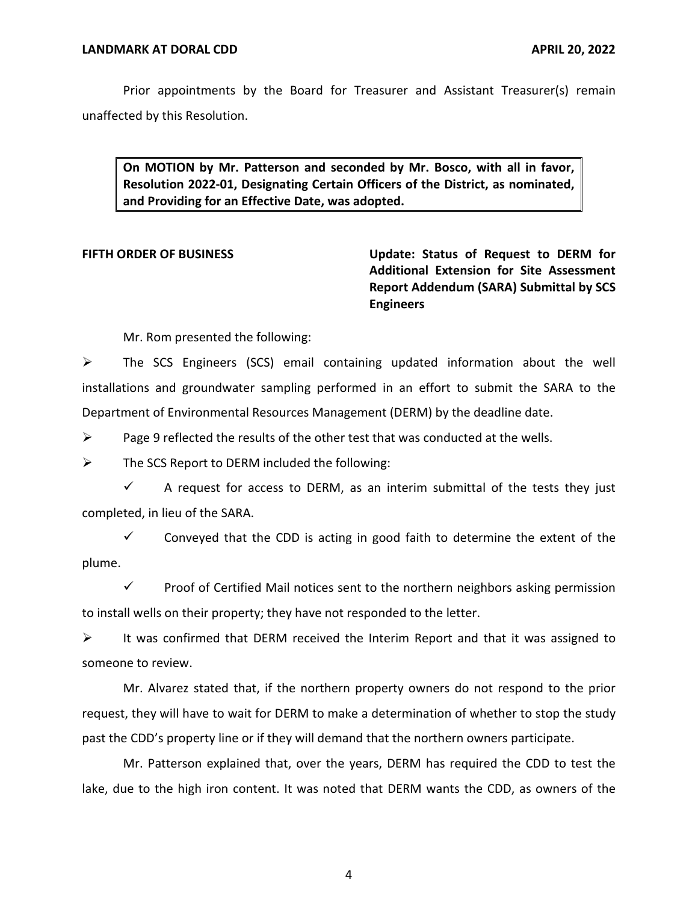Prior appointments by the Board for Treasurer and Assistant Treasurer(s) remain unaffected by this Resolution.

 **On MOTION by Mr. Patterson and seconded by Mr. Bosco, with all in favor, Resolution 2022-01, Designating Certain Officers of the District, as nominated, and Providing for an Effective Date, was adopted.** 

**FIFTH ORDER OF BUSINESS Update: Status of Request to DERM for Additional Extension for Site Assessment Report Addendum (SARA) Submittal by SCS Engineers** 

Mr. Rom presented the following:

 $\triangleright$  The SCS Engineers (SCS) email containing updated information about the well installations and groundwater sampling performed in an effort to submit the SARA to the Department of Environmental Resources Management (DERM) by the deadline date.

 $\triangleright$  Page 9 reflected the results of the other test that was conducted at the wells.

 $\triangleright$  The SCS Report to DERM included the following:

 $\checkmark$  A request for access to DERM, as an interim submittal of the tests they just completed, in lieu of the SARA.

 $\checkmark$  Conveyed that the CDD is acting in good faith to determine the extent of the plume.

 $\checkmark$  Proof of Certified Mail notices sent to the northern neighbors asking permission to install wells on their property; they have not responded to the letter.

 $\triangleright$  It was confirmed that DERM received the Interim Report and that it was assigned to someone to review.

Mr. Alvarez stated that, if the northern property owners do not respond to the prior request, they will have to wait for DERM to make a determination of whether to stop the study past the CDD's property line or if they will demand that the northern owners participate.

Mr. Patterson explained that, over the years, DERM has required the CDD to test the lake, due to the high iron content. It was noted that DERM wants the CDD, as owners of the

4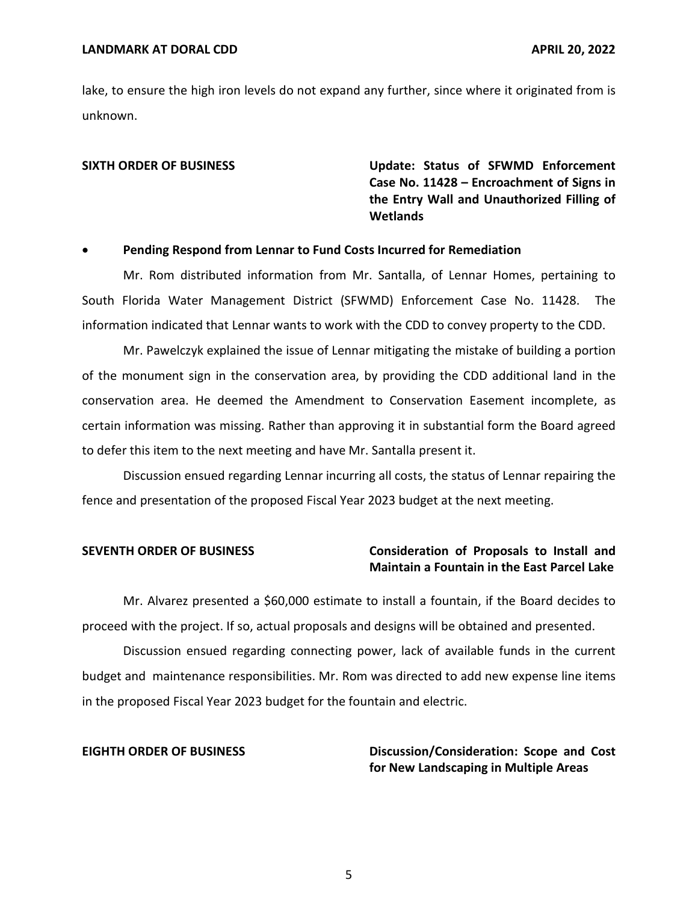lake, to ensure the high iron levels do not expand any further, since where it originated from is unknown.

**SIXTH ORDER OF BUSINESS Update: Status of SFWMD Enforcement Case No. 11428 – Encroachment of Signs in the Entry Wall and Unauthorized Filling of Wetlands** 

### • **Pending Respond from Lennar to Fund Costs Incurred for Remediation**

Mr. Rom distributed information from Mr. Santalla, of Lennar Homes, pertaining to South Florida Water Management District (SFWMD) Enforcement Case No. 11428. The information indicated that Lennar wants to work with the CDD to convey property to the CDD.

Mr. Pawelczyk explained the issue of Lennar mitigating the mistake of building a portion of the monument sign in the conservation area, by providing the CDD additional land in the conservation area. He deemed the Amendment to Conservation Easement incomplete, as certain information was missing. Rather than approving it in substantial form the Board agreed to defer this item to the next meeting and have Mr. Santalla present it.

Discussion ensued regarding Lennar incurring all costs, the status of Lennar repairing the fence and presentation of the proposed Fiscal Year 2023 budget at the next meeting.

# **SEVENTH ORDER OF BUSINESS Consideration of Proposals to Install and Maintain a Fountain in the East Parcel Lake**

Mr. Alvarez presented a \$60,000 estimate to install a fountain, if the Board decides to proceed with the project. If so, actual proposals and designs will be obtained and presented.

Discussion ensued regarding connecting power, lack of available funds in the current budget and maintenance responsibilities. Mr. Rom was directed to add new expense line items in the proposed Fiscal Year 2023 budget for the fountain and electric.

**EIGHTH ORDER OF BUSINESS Discussion/Consideration: Scope and Cost for New Landscaping in Multiple Areas**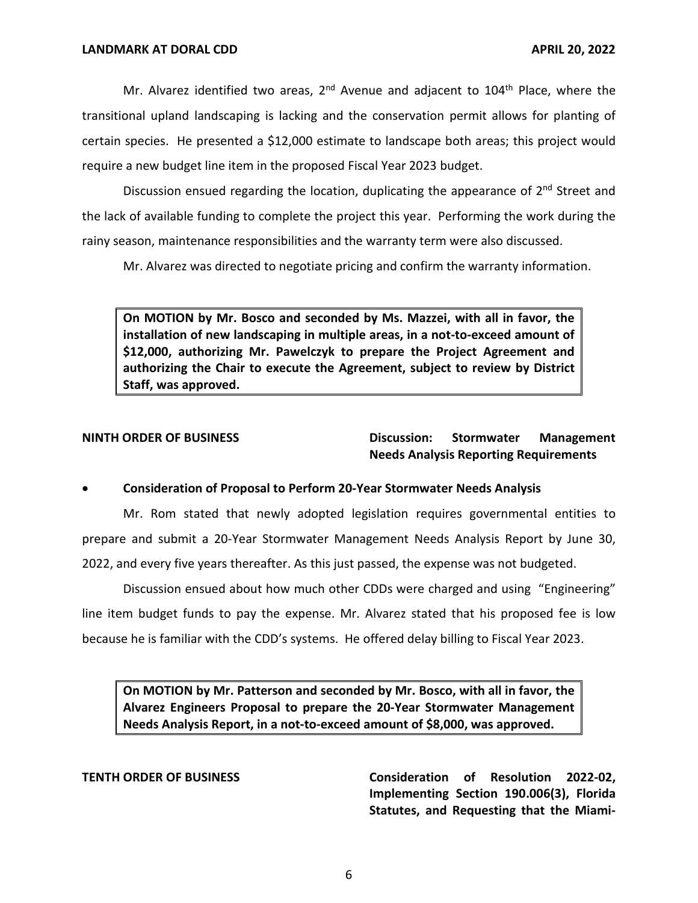Mr. Alvarez identified two areas,  $2<sup>nd</sup>$  Avenue and adjacent to 104<sup>th</sup> Place, where the transitional upland landscaping is lacking and the conservation permit allows for planting of certain species. He presented a \$12,000 estimate to landscape both areas; this project would require a new budget line item in the proposed Fiscal Year 2023 budget.

Discussion ensued regarding the location, duplicating the appearance of  $2<sup>nd</sup>$  Street and the lack of available funding to complete the project this year. Performing the work during the rainy season, maintenance responsibilities and the warranty term were also discussed.

Mr. Alvarez was directed to negotiate pricing and confirm the warranty information.

 **On MOTION by Mr. Bosco and seconded by Ms. Mazzei, with all in favor, the installation of new landscaping in multiple areas, in a not-to-exceed amount of \$12,000, authorizing Mr. Pawelczyk to prepare the Project Agreement and authorizing the Chair to execute the Agreement, subject to review by District Staff, was approved.** 

**NINTH ORDER OF BUSINESS Discussion: Stormwater Management Needs Analysis Reporting Requirements** 

### • **Consideration of Proposal to Perform 20-Year Stormwater Needs Analysis**

Mr. Rom stated that newly adopted legislation requires governmental entities to prepare and submit a 20-Year Stormwater Management Needs Analysis Report by June 30, 2022, and every five years thereafter. As this just passed, the expense was not budgeted.

Discussion ensued about how much other CDDs were charged and using "Engineering" line item budget funds to pay the expense. Mr. Alvarez stated that his proposed fee is low because he is familiar with the CDD's systems. He offered delay billing to Fiscal Year 2023.

 **On MOTION by Mr. Patterson and seconded by Mr. Bosco, with all in favor, the Alvarez Engineers Proposal to prepare the 20-Year Stormwater Management Needs Analysis Report, in a not-to-exceed amount of \$8,000, was approved.** 

 **TENTH ORDER OF BUSINESS Consideration of Resolution 2022-02, Implementing Section 190.006(3), Florida Statutes, and Requesting that the Miami-**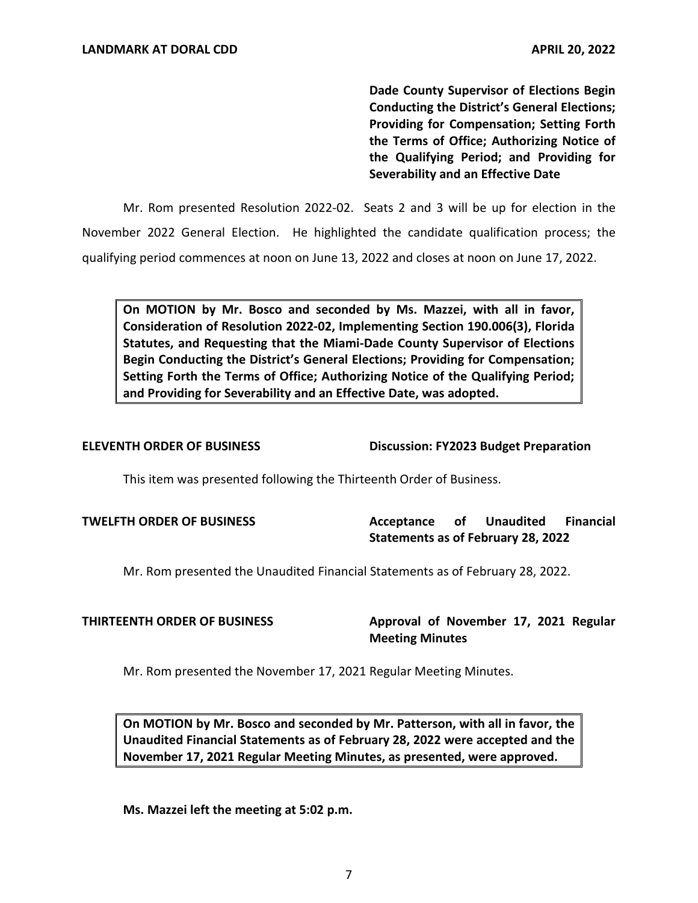**Dade County Supervisor of Elections Begin Conducting the District's General Elections; Providing for Compensation; Setting Forth the Terms of Office; Authorizing Notice of the Qualifying Period; and Providing for Severability and an Effective Date** 

Mr. Rom presented Resolution 2022-02. Seats 2 and 3 will be up for election in the November 2022 General Election. He highlighted the candidate qualification process; the qualifying period commences at noon on June 13, 2022 and closes at noon on June 17, 2022.

 **On MOTION by Mr. Bosco and seconded by Ms. Mazzei, with all in favor, Consideration of Resolution 2022-02, Implementing Section 190.006(3), Florida Statutes, and Requesting that the Miami-Dade County Supervisor of Elections Begin Conducting the District's General Elections; Providing for Compensation; Setting Forth the Terms of Office; Authorizing Notice of the Qualifying Period; and Providing for Severability and an Effective Date, was adopted.** 

**ELEVENTH ORDER OF BUSINESS Discussion: FY2023 Budget Preparation** 

This item was presented following the Thirteenth Order of Business.

**TWELFTH ORDER OF BUSINESS Acceptance of Unaudited Financial Statements as of February 28, 2022** 

Mr. Rom presented the Unaudited Financial Statements as of February 28, 2022.

**THIRTEENTH ORDER OF BUSINESS Approval of November 17, 2021 Regular Meeting Minutes** 

Mr. Rom presented the November 17, 2021 Regular Meeting Minutes.

 **On MOTION by Mr. Bosco and seconded by Mr. Patterson, with all in favor, the Unaudited Financial Statements as of February 28, 2022 were accepted and the November 17, 2021 Regular Meeting Minutes, as presented, were approved.** 

**Ms. Mazzei left the meeting at 5:02 p.m.**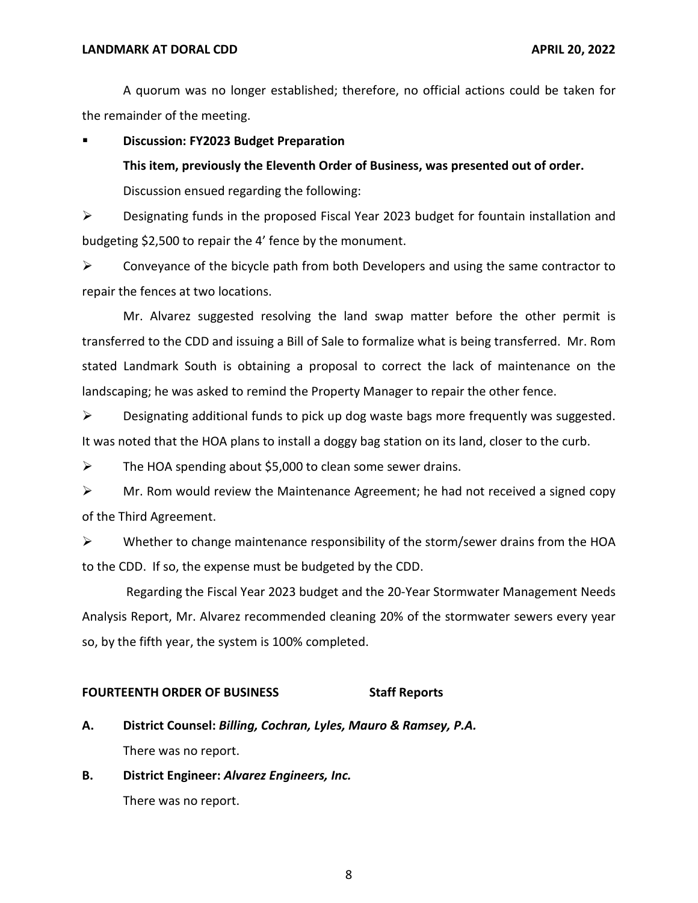### **LANDMARK AT DORAL CDD APRIL 20, 2022**

A quorum was no longer established; therefore, no official actions could be taken for the remainder of the meeting.

**Discussion: FY2023 Budget Preparation** 

**This item, previously the Eleventh Order of Business, was presented out of order.** 

Discussion ensued regarding the following:

➢ Designating funds in the proposed Fiscal Year 2023 budget for fountain installation and budgeting \$2,500 to repair the 4' fence by the monument.

 $\triangleright$  Conveyance of the bicycle path from both Developers and using the same contractor to repair the fences at two locations.

Mr. Alvarez suggested resolving the land swap matter before the other permit is transferred to the CDD and issuing a Bill of Sale to formalize what is being transferred. Mr. Rom stated Landmark South is obtaining a proposal to correct the lack of maintenance on the landscaping; he was asked to remind the Property Manager to repair the other fence.

➢ Designating additional funds to pick up dog waste bags more frequently was suggested. It was noted that the HOA plans to install a doggy bag station on its land, closer to the curb.

 $\triangleright$  The HOA spending about \$5,000 to clean some sewer drains.

 $\triangleright$  Mr. Rom would review the Maintenance Agreement; he had not received a signed copy of the Third Agreement.

 $\triangleright$  Whether to change maintenance responsibility of the storm/sewer drains from the HOA to the CDD. If so, the expense must be budgeted by the CDD.

Regarding the Fiscal Year 2023 budget and the 20-Year Stormwater Management Needs Analysis Report, Mr. Alvarez recommended cleaning 20% of the stormwater sewers every year so, by the fifth year, the system is 100% completed.

### **FOURTEENTH ORDER OF BUSINESS Staff Reports**

- **A. District Counsel:** *Billing, Cochran, Lyles, Mauro & Ramsey, P.A.*  There was no report.
- **B. District Engineer:** *Alvarez Engineers, Inc.*  There was no report.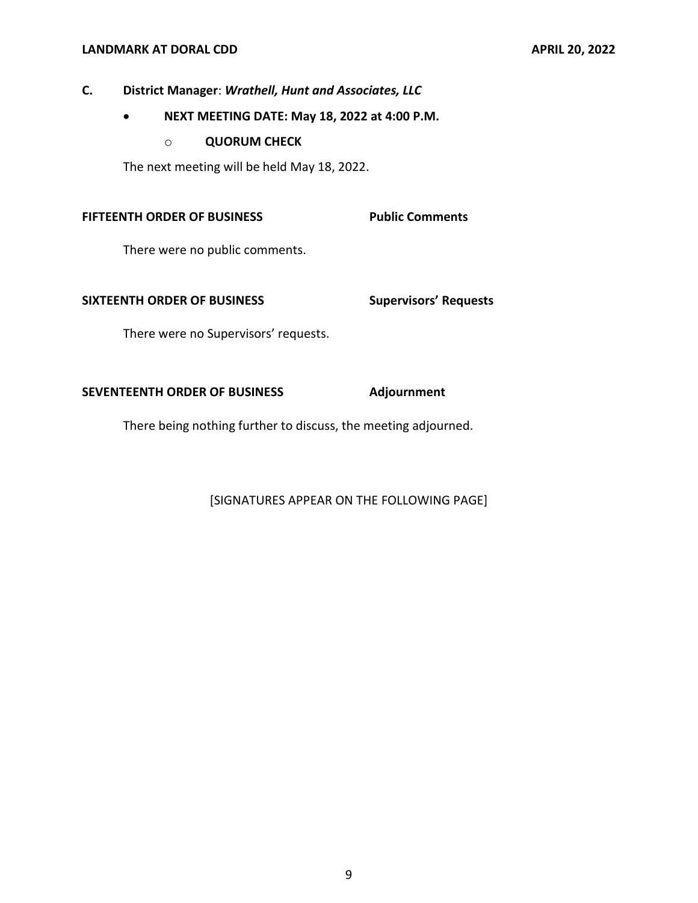# **LANDMARK AT DORAL CDD APRIL 20, 2022**

# **C. District Manager**: *Wrathell, Hunt and Associates, LLC*

- **NEXT MEETING DATE: May 18, 2022 at 4:00 P.M.** 
	- o **QUORUM CHECK**

The next meeting will be held May 18, 2022.

### **FIFTEENTH ORDER OF BUSINESS Public Comments**

There were no public comments.

### **SIXTEENTH ORDER OF BUSINESS**

**Supervisors' Requests** 

There were no Supervisors' requests.

## SEVENTEENTH ORDER OF BUSINESS Adjournment

There being nothing further to discuss, the meeting adjourned.

[SIGNATURES APPEAR ON THE FOLLOWING PAGE]